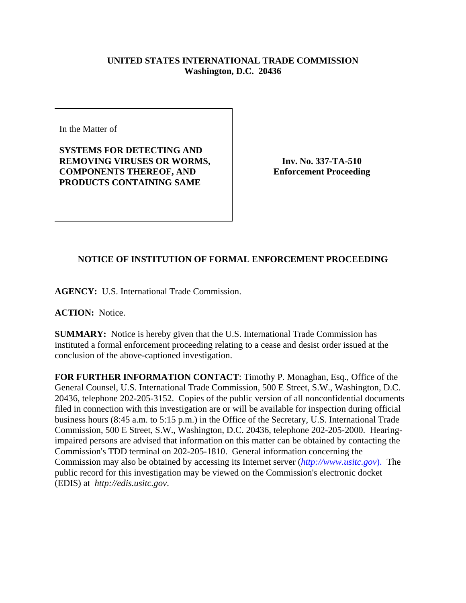## **UNITED STATES INTERNATIONAL TRADE COMMISSION Washington, D.C. 20436**

In the Matter of

**SYSTEMS FOR DETECTING AND REMOVING VIRUSES OR WORMS, COMPONENTS THEREOF, AND PRODUCTS CONTAINING SAME**

**Inv. No. 337-TA-510 Enforcement Proceeding**

## **NOTICE OF INSTITUTION OF FORMAL ENFORCEMENT PROCEEDING**

**AGENCY:** U.S. International Trade Commission.

**ACTION:** Notice.

**SUMMARY:** Notice is hereby given that the U.S. International Trade Commission has instituted a formal enforcement proceeding relating to a cease and desist order issued at the conclusion of the above-captioned investigation.

**FOR FURTHER INFORMATION CONTACT**: Timothy P. Monaghan, Esq., Office of the General Counsel, U.S. International Trade Commission, 500 E Street, S.W., Washington, D.C. 20436, telephone 202-205-3152. Copies of the public version of all nonconfidential documents filed in connection with this investigation are or will be available for inspection during official business hours (8:45 a.m. to 5:15 p.m.) in the Office of the Secretary, U.S. International Trade Commission, 500 E Street, S.W., Washington, D.C. 20436, telephone 202-205-2000. Hearingimpaired persons are advised that information on this matter can be obtained by contacting the Commission's TDD terminal on 202-205-1810. General information concerning the Commission may also be obtained by accessing its Internet server (*http://www.usitc.gov*). The public record for this investigation may be viewed on the Commission's electronic docket (EDIS) at *http://edis.usitc.gov*.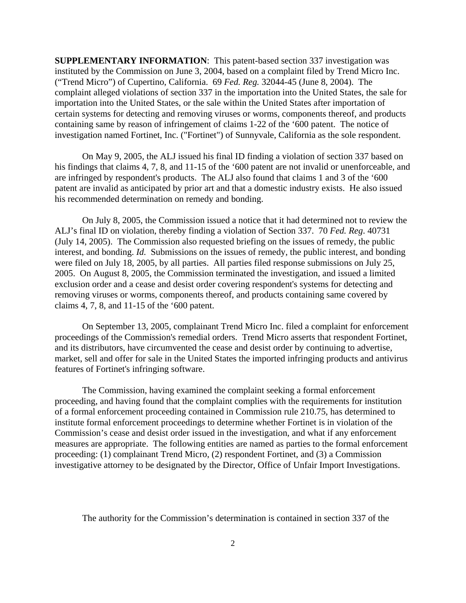**SUPPLEMENTARY INFORMATION**: This patent-based section 337 investigation was instituted by the Commission on June 3, 2004, based on a complaint filed by Trend Micro Inc. ("Trend Micro") of Cupertino, California. 69 *Fed. Reg.* 32044-45 (June 8, 2004). The complaint alleged violations of section 337 in the importation into the United States, the sale for importation into the United States, or the sale within the United States after importation of certain systems for detecting and removing viruses or worms, components thereof, and products containing same by reason of infringement of claims 1-22 of the '600 patent. The notice of investigation named Fortinet, Inc. ("Fortinet") of Sunnyvale, California as the sole respondent.

On May 9, 2005, the ALJ issued his final ID finding a violation of section 337 based on his findings that claims 4, 7, 8, and 11-15 of the '600 patent are not invalid or unenforceable, and are infringed by respondent's products. The ALJ also found that claims 1 and 3 of the '600 patent are invalid as anticipated by prior art and that a domestic industry exists. He also issued his recommended determination on remedy and bonding.

On July 8, 2005, the Commission issued a notice that it had determined not to review the ALJ's final ID on violation, thereby finding a violation of Section 337. 70 *Fed. Reg*. 40731 (July 14, 2005). The Commission also requested briefing on the issues of remedy, the public interest, and bonding. *Id.* Submissions on the issues of remedy, the public interest, and bonding were filed on July 18, 2005, by all parties. All parties filed response submissions on July 25, 2005. On August 8, 2005, the Commission terminated the investigation, and issued a limited exclusion order and a cease and desist order covering respondent's systems for detecting and removing viruses or worms, components thereof, and products containing same covered by claims 4, 7, 8, and 11-15 of the '600 patent.

On September 13, 2005, complainant Trend Micro Inc. filed a complaint for enforcement proceedings of the Commission's remedial orders. Trend Micro asserts that respondent Fortinet, and its distributors, have circumvented the cease and desist order by continuing to advertise, market, sell and offer for sale in the United States the imported infringing products and antivirus features of Fortinet's infringing software.

The Commission, having examined the complaint seeking a formal enforcement proceeding, and having found that the complaint complies with the requirements for institution of a formal enforcement proceeding contained in Commission rule 210.75, has determined to institute formal enforcement proceedings to determine whether Fortinet is in violation of the Commission's cease and desist order issued in the investigation, and what if any enforcement measures are appropriate. The following entities are named as parties to the formal enforcement proceeding: (1) complainant Trend Micro, (2) respondent Fortinet, and (3) a Commission investigative attorney to be designated by the Director, Office of Unfair Import Investigations.

The authority for the Commission's determination is contained in section 337 of the